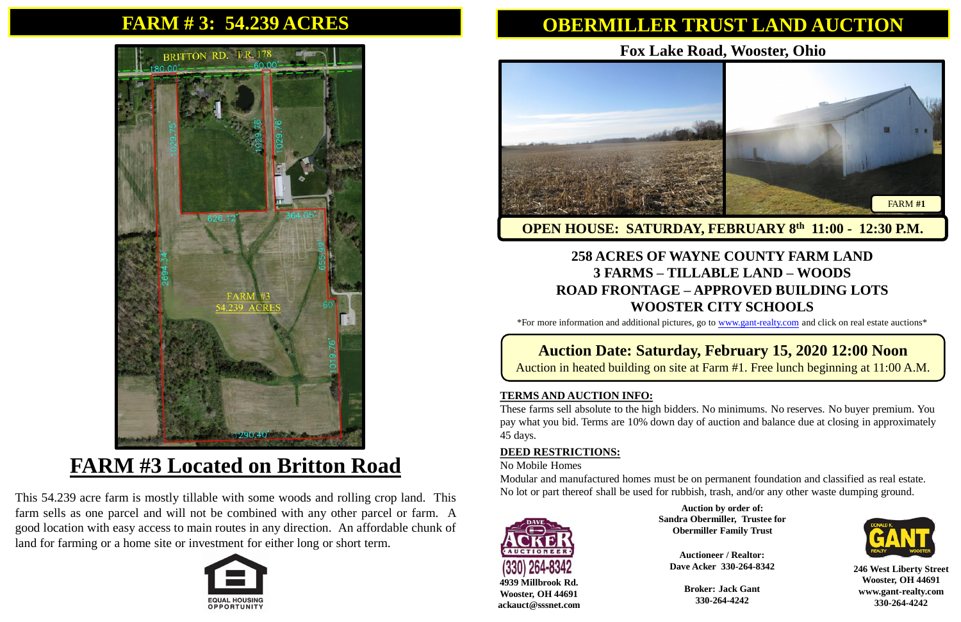## **FARM # 3: 54.239 ACRES**



# **FARM #3 Located on Britton Road**

This 54.239 acre farm is mostly tillable with some woods and rolling crop land. This farm sells as one parcel and will not be combined with any other parcel or farm. A good location with easy access to main routes in any direction. An affordable chunk of land for farming or a home site or investment for either long or short term.



# **OBERMILLER TRUST LAND AUCTION**

**246 West Liberty Street Wooster, OH 44691 www.gant-realty.com 330-264-4242**

**4939 Millbrook Rd. Wooster, OH 44691 ackauct@sssnet.com**

### **Fox Lake Road, Wooster, Ohio**

#### **258 ACRES OF WAYNE COUNTY FARM LAND 3 FARMS – TILLABLE LAND – WOODS ROAD FRONTAGE – APPROVED BUILDING LOTS WOOSTER CITY SCHOOLS**

\*For more information and additional pictures, go to [www.gant-realty.com](http://www.gant-realty.com/) and click on real estate auctions\*

#### **Auction Date: Saturday, February 15, 2020 12:00 Noon** Auction in heated building on site at Farm #1. Free lunch beginning at 11:00 A.M.

#### **TERMS AND AUCTION INFO:**

These farms sell absolute to the high bidders. No minimums. No reserves. No buyer premium. You pay what you bid. Terms are 10% down day of auction and balance due at closing in approximately 45 days.

#### **DEED RESTRICTIONS:**

No Mobile Homes

Modular and manufactured homes must be on permanent foundation and classified as real estate. No lot or part thereof shall be used for rubbish, trash, and/or any other waste dumping ground.



**Auctioneer / Realtor: Dave Acker 330-264-8342**

> **Broker: Jack Gant 330-264-4242**



**Auction by order of: Sandra Obermiller, Trustee for Obermiller Family Trust**

#### **OPEN HOUSE: SATURDAY, FEBRUARY 8 th 11:00 - 12:30 P.M.**